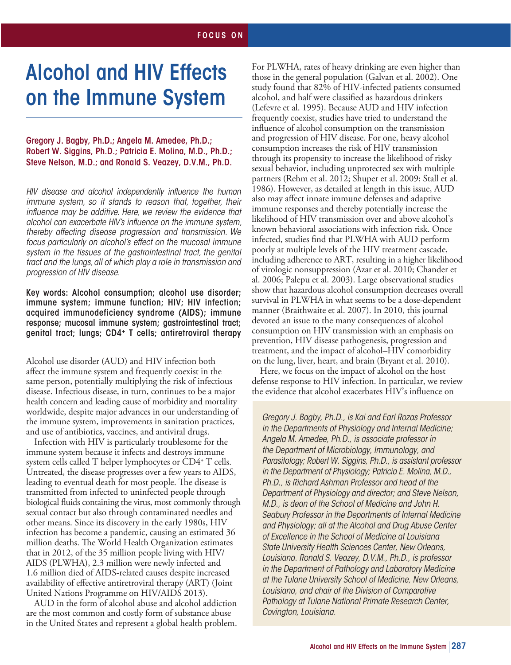#### ALCOHOL RESEARCH: *Current Reviews* Computer-based and Internet Prevention, Alcohol Screening, SPECIAL SECTION COMPUTER-based and Internet Prevention, Alcohol Screening, Alcohol Screening, Alcohol Screening, Alcohol Screening, Alcohol Screening, Alcohol Screening, Alcohol Screening, Alcohol Screening, Alcohol Screen ALCOHOL RESEARCH: *Current Reviews* FOCUS ON

# Alcohol and HIV Effects on the Immune System

Gregory J. Bagby, Ph.D.; Angela M. Amedee, Ph.D.; Robert W. Siggins, Ph.D.; Patricia E. Molina, M.D., Ph.D.; Steve Nelson, M.D.; and Ronald S. Veazey, D.V.M., Ph.D.

*HIV disease and alcohol independently influence the human immune system, so it stands to reason that, together, their influence may be additive. Here, we review the evidence that alcohol can exacerbate HIV's influence on the immune system, thereby affecting disease progression and transmission. We focus particularly on alcohol's effect on the mucosal immune system in the tissues of the gastrointestinal tract, the genital tract and the lungs, all of which play a role in transmission and progression of HIV disease.* 

Key words: Alcohol consumption; alcohol use disorder; immune system; immune function; HIV; HIV infection; acquired immunodeficiency syndrome (AIDS); immune response; mucosal immune system; gastrointestinal tract; genital tract; lungs; CD4+ T cells; antiretroviral therapy

Alcohol use disorder (AUD) and HIV infection both affect the immune system and frequently coexist in the same person, potentially multiplying the risk of infectious disease. Infectious disease, in turn, continues to be a major health concern and leading cause of morbidity and mortality worldwide, despite major advances in our understanding of the immune system, improvements in sanitation practices, and use of antibiotics, vaccines, and antiviral drugs.

Infection with HIV is particularly troublesome for the immune system because it infects and destroys immune system cells called T helper lymphocytes or CD4+ T cells. Untreated, the disease progresses over a few years to AIDS, leading to eventual death for most people. The disease is transmitted from infected to uninfected people through biological fluids containing the virus, most commonly through sexual contact but also through contaminated needles and other means. Since its discovery in the early 1980s, HIV infection has become a pandemic, causing an estimated 36 million deaths. The World Health Organization estimates that in 2012, of the 35 million people living with HIV/ AIDS (PLWHA), 2.3 million were newly infected and 1.6 million died of AIDS-related causes despite increased availability of effective antiretroviral therapy (ART) (Joint United Nations Programme on HIV/AIDS 2013).

AUD in the form of alcohol abuse and alcohol addiction are the most common and costly form of substance abuse in the United States and represent a global health problem. For PLWHA, rates of heavy drinking are even higher than those in the general population (Galvan et al. 2002). One study found that 82% of HIV-infected patients consumed alcohol, and half were classified as hazardous drinkers (Lefevre et al. 1995). Because AUD and HIV infection frequently coexist, studies have tried to understand the influence of alcohol consumption on the transmission and progression of HIV disease. For one, heavy alcohol consumption increases the risk of HIV transmission through its propensity to increase the likelihood of risky sexual behavior, including unprotected sex with multiple partners (Rehm et al. 2012; Shuper et al. 2009; Stall et al. 1986). However, as detailed at length in this issue, AUD also may affect innate immune defenses and adaptive immune responses and thereby potentially increase the likelihood of HIV transmission over and above alcohol's known behavioral associations with infection risk. Once infected, studies find that PLWHA with AUD perform poorly at multiple levels of the HIV treatment cascade, including adherence to ART, resulting in a higher likelihood of virologic nonsuppression (Azar et al. 2010; Chander et al. 2006; Palepu et al. 2003). Large observational studies show that hazardous alcohol consumption decreases overall survival in PLWHA in what seems to be a dose-dependent manner (Braithwaite et al. 2007). In 2010, this journal devoted an issue to the many consequences of alcohol consumption on HIV transmission with an emphasis on prevention, HIV disease pathogenesis, progression and treatment, and the impact of alcohol–HIV comorbidity on the lung, liver, heart, and brain (Bryant et al. 2010).

Here, we focus on the impact of alcohol on the host defense response to HIV infection. In particular, we review the evidence that alcohol exacerbates HIV's influence on

*Gregory J. Bagby, Ph.D., is Kai and Earl Rozas Professor in the Departments of Physiology and Internal Medicine; Angela M. Amedee, Ph.D., is associate professor in the Department of Microbiology, Immunology, and Parasitology; Robert W. Siggins, Ph.D., is assistant professor in the Department of Physiology; Patricia E. Molina, M.D., Ph.D., is Richard Ashman Professor and head of the Department of Physiology and director; and Steve Nelson, M.D., is dean of the School of Medicine and John H. Seabury Professor in the Departments of Internal Medicine and Physiology; all at the Alcohol and Drug Abuse Center of Excellence in the School of Medicine at Louisiana State University Health Sciences Center, New Orleans, Louisiana. Ronald S. Veazey, D.V.M., Ph.D., is professor in the Department of Pathology and Laboratory Medicine at the Tulane University School of Medicine, New Orleans, Louisiana, and chair of the Division of Comparative Pathology at Tulane National Primate Research Center, Covington, Louisiana.*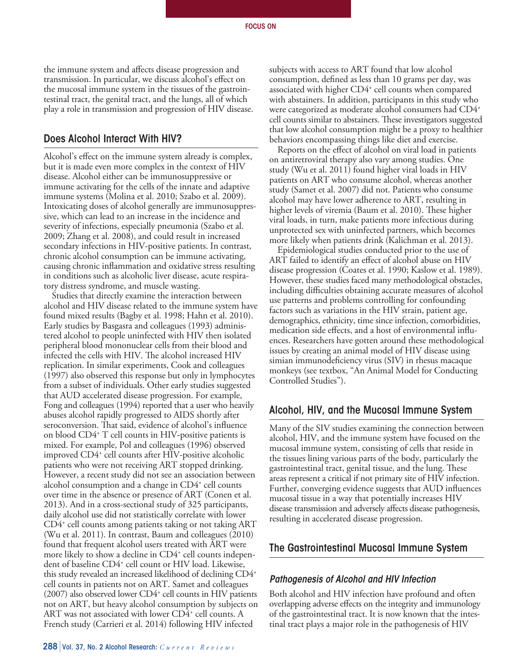the immune system and affects disease progression and transmission. In particular, we discuss alcohol's effect on the mucosal immune system in the tissues of the gastrointestinal tract, the genital tract, and the lungs, all of which play a role in transmission and progression of HIV disease.

### Does Alcohol Interact With HIV?

Alcohol's effect on the immune system already is complex, but it is made even more complex in the context of HIV disease. Alcohol either can be immunosuppressive or immune activating for the cells of the innate and adaptive immune systems (Molina et al. 2010; Szabo et al. 2009). Intoxicating doses of alcohol generally are immunosuppressive, which can lead to an increase in the incidence and severity of infections, especially pneumonia (Szabo et al. 2009; Zhang et al. 2008), and could result in increased secondary infections in HIV-positive patients. In contrast, chronic alcohol consumption can be immune activating, causing chronic inflammation and oxidative stress resulting in conditions such as alcoholic liver disease, acute respiratory distress syndrome, and muscle wasting.

Studies that directly examine the interaction between alcohol and HIV disease related to the immune system have found mixed results (Bagby et al. 1998; Hahn et al. 2010). Early studies by Basgasra and colleagues (1993) administered alcohol to people uninfected with HIV then isolated peripheral blood mononuclear cells from their blood and infected the cells with HIV. The alcohol increased HIV replication. In similar experiments, Cook and colleagues (1997) also observed this response but only in lymphocytes from a subset of individuals. Other early studies suggested that AUD accelerated disease progression. For example, Fong and colleagues (1994) reported that a user who heavily abuses alcohol rapidly progressed to AIDS shortly after seroconversion. That said, evidence of alcohol's influence on blood CD4+ T cell counts in HIV-positive patients is mixed. For example, Pol and colleagues (1996) observed improved CD4+ cell counts after HIV-positive alcoholic patients who were not receiving ART stopped drinking. However, a recent study did not see an association between alcohol consumption and a change in CD4+ cell counts over time in the absence or presence of ART (Conen et al. 2013). And in a cross-sectional study of 325 participants, daily alcohol use did not statistically correlate with lower CD4+ cell counts among patients taking or not taking ART (Wu et al. 2011). In contrast, Baum and colleagues (2010) found that frequent alcohol users treated with ART were more likely to show a decline in CD4<sup>+</sup> cell counts independent of baseline CD4<sup>+</sup> cell count or HIV load. Likewise, this study revealed an increased likelihood of declining CD4+ cell counts in patients not on ART. Samet and colleagues (2007) also observed lower CD4+ cell counts in HIV patients not on ART, but heavy alcohol consumption by subjects on ART was not associated with lower CD4<sup>+</sup> cell counts. A French study (Carrieri et al. 2014) following HIV infected

subjects with access to ART found that low alcohol consumption, defined as less than 10 grams per day, was associated with higher CD4<sup>+</sup> cell counts when compared with abstainers. In addition, participants in this study who were categorized as moderate alcohol consumers had CD4+ cell counts similar to abstainers. These investigators suggested that low alcohol consumption might be a proxy to healthier behaviors encompassing things like diet and exercise.

Reports on the effect of alcohol on viral load in patients on antiretroviral therapy also vary among studies. One study (Wu et al. 2011) found higher viral loads in HIV patients on ART who consume alcohol, whereas another study (Samet et al. 2007) did not. Patients who consume alcohol may have lower adherence to ART, resulting in higher levels of viremia (Baum et al. 2010). These higher viral loads, in turn, make patients more infectious during unprotected sex with uninfected partners, which becomes more likely when patients drink (Kalichman et al. 2013).

Epidemiological studies conducted prior to the use of ART failed to identify an effect of alcohol abuse on HIV disease progression (Coates et al. 1990; Kaslow et al. 1989). However, these studies faced many methodological obstacles, including difficulties obtaining accurate measures of alcohol use patterns and problems controlling for confounding factors such as variations in the HIV strain, patient age, demographics, ethnicity, time since infection, comorbidities, medication side effects, and a host of environmental influences. Researchers have gotten around these methodological issues by creating an animal model of HIV disease using simian immunodeficiency virus (SIV) in rhesus macaque monkeys (see textbox, "An Animal Model for Conducting Controlled Studies").

#### Alcohol, HIV, and the Mucosal Immune System

Many of the SIV studies examining the connection between alcohol, HIV, and the immune system have focused on the mucosal immune system, consisting of cells that reside in the tissues lining various parts of the body, particularly the gastrointestinal tract, genital tissue, and the lung. These areas represent a critical if not primary site of HIV infection. Further, converging evidence suggests that AUD influences mucosal tissue in a way that potentially increases HIV disease transmission and adversely affects disease pathogenesis, resulting in accelerated disease progression.

### The Gastrointestinal Mucosal Immune System

#### *Pathogenesis of Alcohol and HIV Infection*

Both alcohol and HIV infection have profound and often overlapping adverse effects on the integrity and immunology of the gastrointestinal tract. It is now known that the intestinal tract plays a major role in the pathogenesis of HIV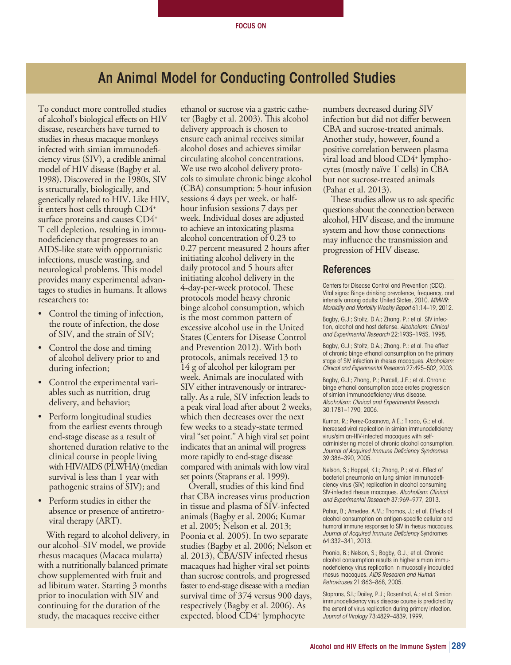# An Animal Model for Conducting Controlled Studies

To conduct more controlled studies of alcohol's biological effects on HIV disease, researchers have turned to studies in rhesus macaque monkeys infected with simian immunodeficiency virus (SIV), a credible animal model of HIV disease (Bagby et al. 1998). Discovered in the 1980s, SIV is structurally, biologically, and genetically related to HIV. Like HIV, it enters host cells through CD4+ surface proteins and causes CD4+ T cell depletion, resulting in immunodeficiency that progresses to an AIDS-like state with opportunistic infections, muscle wasting, and neurological problems. This model provides many experimental advantages to studies in humans. It allows researchers to:

- Control the timing of infection, the route of infection, the dose of SIV, and the strain of SIV;
- Control the dose and timing of alcohol delivery prior to and during infection;
- Control the experimental variables such as nutrition, drug delivery, and behavior;
- Perform longitudinal studies from the earliest events through end-stage disease as a result of shortened duration relative to the clinical course in people living with HIV/AIDS (PLWHA) (median survival is less than 1 year with pathogenic strains of SIV); and
- Perform studies in either the absence or presence of antiretroviral therapy (ART).

With regard to alcohol delivery, in our alcohol–SIV model, we provide rhesus macaques (Macaca mulatta) with a nutritionally balanced primate chow supplemented with fruit and ad libitum water. Starting 3 months prior to inoculation with SIV and continuing for the duration of the study, the macaques receive either

ethanol or sucrose via a gastric catheter (Bagby et al. 2003). This alcohol delivery approach is chosen to ensure each animal receives similar alcohol doses and achieves similar circulating alcohol concentrations. We use two alcohol delivery protocols to simulate chronic binge alcohol (CBA) consumption: 5-hour infusion sessions 4 days per week, or halfhour infusion sessions 7 days per week. Individual doses are adjusted to achieve an intoxicating plasma alcohol concentration of 0.23 to 0.27 percent measured 2 hours after initiating alcohol delivery in the daily protocol and 5 hours after initiating alcohol delivery in the 4-day-per-week protocol. These protocols model heavy chronic binge alcohol consumption, which is the most common pattern of excessive alcohol use in the United States (Centers for Disease Control and Prevention 2012). With both protocols, animals received 13 to 14 g of alcohol per kilogram per week. Animals are inoculated with SIV either intravenously or intrarectally. As a rule, SIV infection leads to a peak viral load after about 2 weeks, which then decreases over the next few weeks to a steady-state termed viral "set point." A high viral set point indicates that an animal will progress more rapidly to end-stage disease compared with animals with low viral set points (Staprans et al. 1999).

Overall, studies of this kind find that CBA increases virus production in tissue and plasma of SIV-infected animals (Bagby et al. 2006; Kumar et al. 2005; Nelson et al. 2013; Poonia et al. 2005). In two separate studies (Bagby et al. 2006; Nelson et al. 2013), CBA/SIV infected rhesus macaques had higher viral set points than sucrose controls, and progressed faster to end-stage disease with a median survival time of 374 versus 900 days, respectively (Bagby et al. 2006). As expected, blood CD4+ lymphocyte

numbers decreased during SIV infection but did not differ between CBA and sucrose-treated animals. Another study, however, found a positive correlation between plasma viral load and blood CD4+ lymphocytes (mostly naïve T cells) in CBA but not sucrose-treated animals (Pahar et al. 2013).

These studies allow us to ask specific questions about the connection between alcohol, HIV disease, and the immune system and how those connections may influence the transmission and progression of HIV disease.

#### References

Centers for Disease Control and Prevention (CDC). Vital signs: Binge drinking prevalence, frequency, and intensity among adults: United States, 2010. *MMWR: Morbidity and Mortality Weekly Report* 61:14–19, 2012.

Bagby, G.J.; Stoltz, D.A.; Zhang, P.; et al. SIV infection, alcohol and host defense. *Alcoholism: Clinical and Experimental Research* 22:193S–195S, 1998.

Bagby, G.J.; Stoltz, D.A.; Zhang, P.; et al. The effect of chronic binge ethanol consumption on the primary stage of SIV infection in rhesus macaques. *Alcoholism: Clinical and Experimental Research* 27:495–502, 2003.

Bagby, G.J.; Zhang, P.; Purcell, J.E.; et al. Chronic binge ethanol consumption accelerates progression of simian immunodeficiency virus disease. *Alcoholism: Clinical and Experimental Researc*h 30:1781–1790, 2006.

Kumar, R.; Perez-Casanova, A.E.; Tirado, G.; et al. Increased viral replication in simian immunodeficiency virus/simian-HIV-infected macaques with selfadministering model of chronic alcohol consumption. *Journal of Acquired Immune Deficiency Syndromes* 39:386–390, 2005.

Nelson, S.; Happel, K.I.; Zhang, P.; et al. Effect of bacterial pneumonia on lung simian immunodeficiency virus (SIV) replication in alcohol consuming SIV-infected rhesus macaques. *Alcoholism: Clinical and Experimental Research* 37:969–977, 2013.

Pahar, B.; Amedee, A.M.; Thomas, J.; et al. Effects of alcohol consumption on antigen-specific cellular and humoral immune responses to SIV in rhesus macaques. *Journal of Acquired Immune Deficiency* Syndromes 64:332–341, 2013.

Poonia, B.; Nelson, S.; Bagby, G.J.; et al. Chronic alcohol consumption results in higher simian immunodeficiency virus replication in mucosally inoculated rhesus macaques. *AIDS Research and Human Retroviruses* 21:863–868, 2005.

Staprans, S.I.; Dailey, P.J.; Rosenthal, A.; et al. Simian immunodeficiency virus disease course is predicted by the extent of virus replication during primary infection. *Journal of Virology* 73:4829–4839, 1999.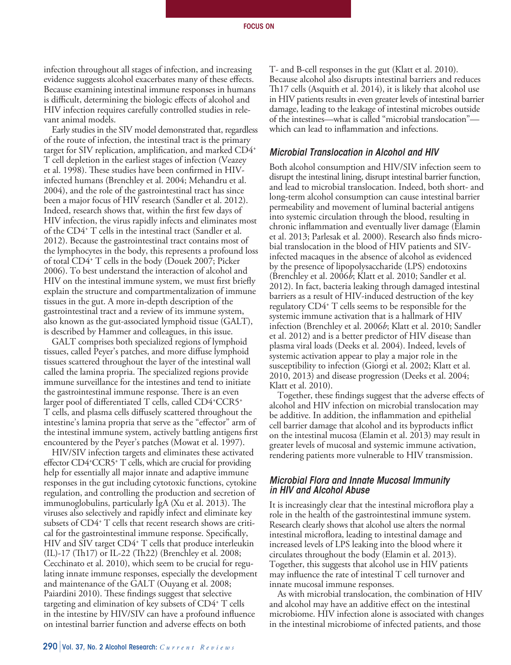infection throughout all stages of infection, and increasing evidence suggests alcohol exacerbates many of these effects. Because examining intestinal immune responses in humans is difficult, determining the biologic effects of alcohol and HIV infection requires carefully controlled studies in relevant animal models.

Early studies in the SIV model demonstrated that, regardless of the route of infection, the intestinal tract is the primary target for SIV replication, amplification, and marked CD4+ T cell depletion in the earliest stages of infection (Veazey et al. 1998). These studies have been confirmed in HIVinfected humans (Brenchley et al. 2004; Mehandru et al. 2004), and the role of the gastrointestinal tract has since been a major focus of HIV research (Sandler et al. 2012). Indeed, research shows that, within the first few days of HIV infection, the virus rapidly infects and eliminates most of the CD4+ T cells in the intestinal tract (Sandler et al. 2012). Because the gastrointestinal tract contains most of the lymphocytes in the body, this represents a profound loss of total CD4+ T cells in the body (Douek 2007; Picker 2006). To best understand the interaction of alcohol and HIV on the intestinal immune system, we must first briefly explain the structure and compartmentalization of immune tissues in the gut. A more in-depth description of the gastrointestinal tract and a review of its immune system, also known as the gut-associated lymphoid tissue (GALT), is described by Hammer and colleagues, in this issue.

GALT comprises both specialized regions of lymphoid tissues, called Peyer's patches, and more diffuse lymphoid tissues scattered throughout the layer of the intestinal wall called the lamina propria. The specialized regions provide immune surveillance for the intestines and tend to initiate the gastrointestinal immune response. There is an even larger pool of differentiated T cells, called CD4+CCR5+ T cells, and plasma cells diffusely scattered throughout the intestine's lamina propria that serve as the "effector" arm of the intestinal immune system, actively battling antigens first encountered by the Peyer's patches (Mowat et al. 1997).

HIV/SIV infection targets and eliminates these activated effector CD4<sup>+</sup>CCR5<sup>+</sup> T cells, which are crucial for providing help for essentially all major innate and adaptive immune responses in the gut including cytotoxic functions, cytokine regulation, and controlling the production and secretion of immunoglobulins, particularly IgA (Xu et al. 2013). The viruses also selectively and rapidly infect and eliminate key subsets of CD4+ T cells that recent research shows are critical for the gastrointestinal immune response. Specifically, HIV and SIV target CD4+ T cells that produce interleukin (IL)-17 (Th17) or IL-22 (Th22) (Brenchley et al. 2008; Cecchinato et al. 2010), which seem to be crucial for regulating innate immune responses, especially the development and maintenance of the GALT (Ouyang et al. 2008; Paiardini 2010). These findings suggest that selective targeting and elimination of key subsets of CD4+ T cells in the intestine by HIV/SIV can have a profound influence on intestinal barrier function and adverse effects on both

T- and B-cell responses in the gut (Klatt et al. 2010). Because alcohol also disrupts intestinal barriers and reduces Th17 cells (Asquith et al. 2014), it is likely that alcohol use in HIV patients results in even greater levels of intestinal barrier damage, leading to the leakage of intestinal microbes outside of the intestines—what is called "microbial translocation" which can lead to inflammation and infections.

#### *Microbial Translocation in Alcohol and HIV*

Both alcohol consumption and HIV/SIV infection seem to disrupt the intestinal lining, disrupt intestinal barrier function, and lead to microbial translocation. Indeed, both short- and long-term alcohol consumption can cause intestinal barrier permeability and movement of luminal bacterial antigens into systemic circulation through the blood, resulting in chronic inflammation and eventually liver damage (Elamin et al. 2013; Parlesak et al. 2000). Research also finds microbial translocation in the blood of HIV patients and SIVinfected macaques in the absence of alcohol as evidenced by the presence of lipopolysaccharide (LPS) endotoxins (Brenchley et al. 2006*b*; Klatt et al. 2010; Sandler et al. 2012). In fact, bacteria leaking through damaged intestinal barriers as a result of HIV-induced destruction of the key regulatory CD4+ T cells seems to be responsible for the systemic immune activation that is a hallmark of HIV infection (Brenchley et al. 2006*b*; Klatt et al. 2010; Sandler et al. 2012) and is a better predictor of HIV disease than plasma viral loads (Deeks et al. 2004). Indeed, levels of systemic activation appear to play a major role in the susceptibility to infection (Giorgi et al. 2002; Klatt et al. 2010, 2013) and disease progression (Deeks et al. 2004; Klatt et al. 2010).

Together, these findings suggest that the adverse effects of alcohol and HIV infection on microbial translocation may be additive. In addition, the inflammation and epithelial cell barrier damage that alcohol and its byproducts inflict on the intestinal mucosa (Elamin et al. 2013) may result in greater levels of mucosal and systemic immune activation, rendering patients more vulnerable to HIV transmission.

#### *Microbial Flora and Innate Mucosal Immunity in HIV and Alcohol Abuse*

It is increasingly clear that the intestinal microflora play a role in the health of the gastrointestinal immune system. Research clearly shows that alcohol use alters the normal intestinal microflora, leading to intestinal damage and increased levels of LPS leaking into the blood where it circulates throughout the body (Elamin et al. 2013). Together, this suggests that alcohol use in HIV patients may influence the rate of intestinal T cell turnover and innate mucosal immune responses.

As with microbial translocation, the combination of HIV and alcohol may have an additive effect on the intestinal microbiome. HIV infection alone is associated with changes in the intestinal microbiome of infected patients, and those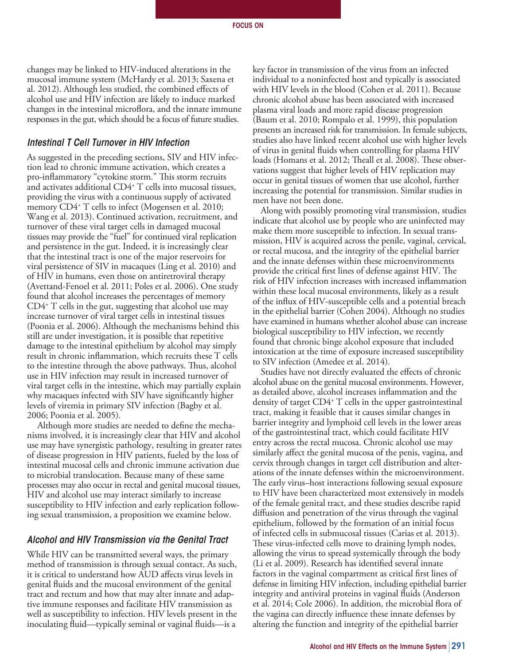changes may be linked to HIV-induced alterations in the mucosal immune system (McHardy et al. 2013; Saxena et al. 2012). Although less studied, the combined effects of alcohol use and HIV infection are likely to induce marked changes in the intestinal microflora, and the innate immune responses in the gut, which should be a focus of future studies.

#### *Intestinal T Cell Turnover in HIV Infection*

As suggested in the preceding sections, SIV and HIV infection lead to chronic immune activation, which creates a pro-inflammatory "cytokine storm." This storm recruits and activates additional CD4+ T cells into mucosal tissues, providing the virus with a continuous supply of activated memory CD4+ T cells to infect (Mogensen et al. 2010; Wang et al. 2013). Continued activation, recruitment, and turnover of these viral target cells in damaged mucosal tissues may provide the "fuel" for continued viral replication and persistence in the gut. Indeed, it is increasingly clear that the intestinal tract is one of the major reservoirs for viral persistence of SIV in macaques (Ling et al. 2010) and of HIV in humans, even those on antiretroviral therapy (Avettand-Fenoel et al. 2011; Poles et al. 2006). One study found that alcohol increases the percentages of memory CD4+ T cells in the gut, suggesting that alcohol use may increase turnover of viral target cells in intestinal tissues (Poonia et al. 2006). Although the mechanisms behind this still are under investigation, it is possible that repetitive damage to the intestinal epithelium by alcohol may simply result in chronic inflammation, which recruits these T cells to the intestine through the above pathways. Thus, alcohol use in HIV infection may result in increased turnover of viral target cells in the intestine, which may partially explain why macaques infected with SIV have significantly higher levels of viremia in primary SIV infection (Bagby et al. 2006; Poonia et al. 2005).

 Although more studies are needed to define the mechanisms involved, it is increasingly clear that HIV and alcohol use may have synergistic pathology, resulting in greater rates of disease progression in HIV patients, fueled by the loss of intestinal mucosal cells and chronic immune activation due to microbial translocation. Because many of these same processes may also occur in rectal and genital mucosal tissues, HIV and alcohol use may interact similarly to increase susceptibility to HIV infection and early replication following sexual transmission, a proposition we examine below.

#### *Alcohol and HIV Transmission via the Genital Tract*

While HIV can be transmitted several ways, the primary method of transmission is through sexual contact. As such, it is critical to understand how AUD affects virus levels in genital fluids and the mucosal environment of the genital tract and rectum and how that may alter innate and adaptive immune responses and facilitate HIV transmission as well as susceptibility to infection. HIV levels present in the inoculating fluid—typically seminal or vaginal fluids—is a

key factor in transmission of the virus from an infected individual to a noninfected host and typically is associated with HIV levels in the blood (Cohen et al. 2011). Because chronic alcohol abuse has been associated with increased plasma viral loads and more rapid disease progression (Baum et al. 2010; Rompalo et al. 1999), this population presents an increased risk for transmission. In female subjects, studies also have linked recent alcohol use with higher levels of virus in genital fluids when controlling for plasma HIV loads (Homans et al. 2012; Theall et al. 2008). These observations suggest that higher levels of HIV replication may occur in genital tissues of women that use alcohol, further increasing the potential for transmission. Similar studies in men have not been done.

Along with possibly promoting viral transmission, studies indicate that alcohol use by people who are uninfected may make them more susceptible to infection. In sexual transmission, HIV is acquired across the penile, vaginal, cervical, or rectal mucosa, and the integrity of the epithelial barrier and the innate defenses within these microenvironments provide the critical first lines of defense against HIV. The risk of HIV infection increases with increased inflammation within these local mucosal environments, likely as a result of the influx of HIV-susceptible cells and a potential breach in the epithelial barrier (Cohen 2004). Although no studies have examined in humans whether alcohol abuse can increase biological susceptibility to HIV infection, we recently found that chronic binge alcohol exposure that included intoxication at the time of exposure increased susceptibility to SIV infection (Amedee et al. 2014).

Studies have not directly evaluated the effects of chronic alcohol abuse on the genital mucosal environments. However, as detailed above, alcohol increases inflammation and the density of target CD4+ T cells in the upper gastrointestinal tract, making it feasible that it causes similar changes in barrier integrity and lymphoid cell levels in the lower areas of the gastrointestinal tract, which could facilitate HIV entry across the rectal mucosa. Chronic alcohol use may similarly affect the genital mucosa of the penis, vagina, and cervix through changes in target cell distribution and alterations of the innate defenses within the microenvironment. The early virus–host interactions following sexual exposure to HIV have been characterized most extensively in models of the female genital tract, and these studies describe rapid diffusion and penetration of the virus through the vaginal epithelium, followed by the formation of an initial focus of infected cells in submucosal tissues (Carias et al. 2013). These virus-infected cells move to draining lymph nodes, allowing the virus to spread systemically through the body (Li et al. 2009). Research has identified several innate factors in the vaginal compartment as critical first lines of defense in limiting HIV infection, including epithelial barrier integrity and antiviral proteins in vaginal fluids (Anderson et al. 2014; Cole 2006). In addition, the microbial flora of the vagina can directly influence these innate defenses by altering the function and integrity of the epithelial barrier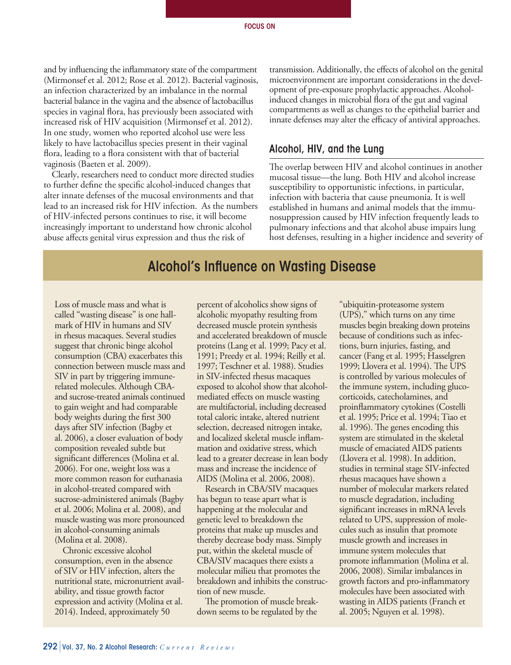and by influencing the inflammatory state of the compartment (Mirmonsef et al. 2012; Rose et al. 2012). Bacterial vaginosis, an infection characterized by an imbalance in the normal bacterial balance in the vagina and the absence of lactobacillus species in vaginal flora, has previously been associated with increased risk of HIV acquisition (Mirmonsef et al. 2012). In one study, women who reported alcohol use were less likely to have lactobacillus species present in their vaginal flora, leading to a flora consistent with that of bacterial vaginosis (Baeten et al. 2009).

Clearly, researchers need to conduct more directed studies to further define the specific alcohol-induced changes that alter innate defenses of the mucosal environments and that lead to an increased risk for HIV infection. As the numbers of HIV-infected persons continues to rise, it will become increasingly important to understand how chronic alcohol abuse affects genital virus expression and thus the risk of

transmission. Additionally, the effects of alcohol on the genital microenvironment are important considerations in the development of pre-exposure prophylactic approaches. Alcoholinduced changes in microbial flora of the gut and vaginal compartments as well as changes to the epithelial barrier and innate defenses may alter the efficacy of antiviral approaches.

#### Alcohol, HIV, and the Lung

The overlap between HIV and alcohol continues in another mucosal tissue—the lung. Both HIV and alcohol increase susceptibility to opportunistic infections, in particular, infection with bacteria that cause pneumonia. It is well established in humans and animal models that the immunosuppression caused by HIV infection frequently leads to pulmonary infections and that alcohol abuse impairs lung host defenses, resulting in a higher incidence and severity of

## Alcohol's Influence on Wasting Disease

Loss of muscle mass and what is called "wasting disease" is one hallmark of HIV in humans and SIV in rhesus macaques. Several studies suggest that chronic binge alcohol consumption (CBA) exacerbates this connection between muscle mass and SIV in part by triggering immunerelated molecules. Although CBAand sucrose-treated animals continued to gain weight and had comparable body weights during the first 300 days after SIV infection (Bagby et al. 2006), a closer evaluation of body composition revealed subtle but significant differences (Molina et al. 2006). For one, weight loss was a more common reason for euthanasia in alcohol-treated compared with sucrose-administered animals (Bagby et al. 2006; Molina et al. 2008), and muscle wasting was more pronounced in alcohol-consuming animals (Molina et al. 2008).

Chronic excessive alcohol consumption, even in the absence of SIV or HIV infection, alters the nutritional state, micronutrient availability, and tissue growth factor expression and activity (Molina et al. 2014). Indeed, approximately 50

percent of alcoholics show signs of alcoholic myopathy resulting from decreased muscle protein synthesis and accelerated breakdown of muscle proteins (Lang et al. 1999; Pacy et al. 1991; Preedy et al. 1994; Reilly et al. 1997; Teschner et al. 1988). Studies in SIV-infected rhesus macaques exposed to alcohol show that alcoholmediated effects on muscle wasting are multifactorial, including decreased total caloric intake, altered nutrient selection, decreased nitrogen intake, and localized skeletal muscle inflammation and oxidative stress, which lead to a greater decrease in lean body mass and increase the incidence of AIDS (Molina et al. 2006, 2008).

Research in CBA/SIV macaques has begun to tease apart what is happening at the molecular and genetic level to breakdown the proteins that make up muscles and thereby decrease body mass. Simply put, within the skeletal muscle of CBA/SIV macaques there exists a molecular milieu that promotes the breakdown and inhibits the construction of new muscle.

The promotion of muscle breakdown seems to be regulated by the

"ubiquitin-proteasome system (UPS)," which turns on any time muscles begin breaking down proteins because of conditions such as infections, burn injuries, fasting, and cancer (Fang et al. 1995; Hasselgren 1999; Llovera et al. 1994). The UPS is controlled by various molecules of the immune system, including glucocorticoids, catecholamines, and proinflammatory cytokines (Costelli et al. 1995; Price et al. 1994; Tiao et al. 1996). The genes encoding this system are stimulated in the skeletal muscle of emaciated AIDS patients (Llovera et al. 1998). In addition, studies in terminal stage SIV-infected rhesus macaques have shown a number of molecular markers related to muscle degradation, including significant increases in mRNA levels related to UPS, suppression of molecules such as insulin that promote muscle growth and increases in immune system molecules that promote inflammation (Molina et al. 2006, 2008). Similar imbalances in growth factors and pro-inflammatory molecules have been associated with wasting in AIDS patients (Franch et al. 2005; Nguyen et al. 1998).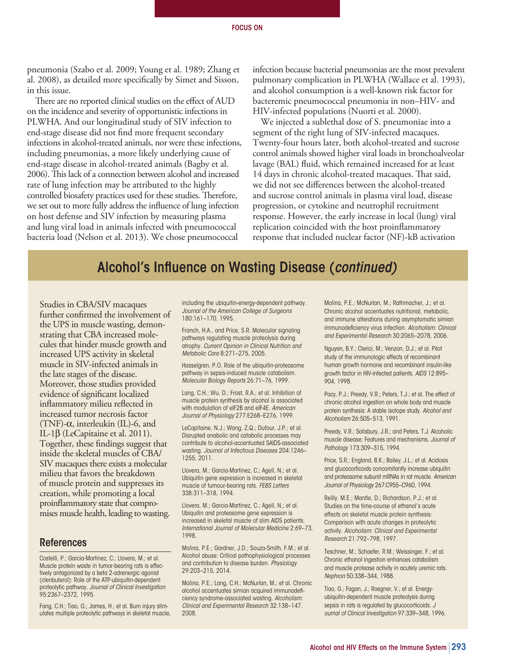pneumonia (Szabo et al. 2009; Young et al. 1989; Zhang et al. 2008), as detailed more specifically by Simet and Sisson, in this issue.

There are no reported clinical studies on the effect of AUD on the incidence and severity of opportunistic infections in PLWHA. And our longitudinal study of SIV infection to end-stage disease did not find more frequent secondary infections in alcohol-treated animals, nor were these infections, including pneumonias, a more likely underlying cause of end-stage disease in alcohol-treated animals (Bagby et al. 2006). This lack of a connection between alcohol and increased rate of lung infection may be attributed to the highly controlled biosafety practices used for these studies. Therefore, we set out to more fully address the influence of lung infection on host defense and SIV infection by measuring plasma and lung viral load in animals infected with pneumococcal bacteria load (Nelson et al. 2013). We chose pneumococcal

infection because bacterial pneumonias are the most prevalent pulmonary complication in PLWHA (Wallace et al. 1993), and alcohol consumption is a well-known risk factor for bacteremic pneumococcal pneumonia in non–HIV- and HIV-infected populations (Nuorti et al. 2000).

We injected a sublethal dose of S. pneumoniae into a segment of the right lung of SIV-infected macaques. Twenty-four hours later, both alcohol-treated and sucrose control animals showed higher viral loads in bronchoalveolar lavage (BAL) fluid, which remained increased for at least 14 days in chronic alcohol-treated macaques. That said, we did not see differences between the alcohol-treated and sucrose control animals in plasma viral load, disease progression, or cytokine and neutrophil recruitment response. However, the early increase in local (lung) viral replication coincided with the host proinflammatory response that included nuclear factor (NF)-kB activation

# Alcohol's Influence on Wasting Disease (*continued)*

Studies in CBA/SIV macaques further confirmed the involvement of the UPS in muscle wasting, demonstrating that CBA increased molecules that hinder muscle growth and increased UPS activity in skeletal muscle in SIV-infected animals in the late stages of the disease. Moreover, those studies provided evidence of significant localized inflammatory milieu reflected in increased tumor necrosis factor (TNF)-α, interleukin (IL)-6, and IL-1β (LeCapitaine et al. 2011). Together, these findings suggest that inside the skeletal muscles of CBA/ SIV macaques there exists a molecular milieu that favors the breakdown of muscle protein and suppresses its creation, while promoting a local proinflammatory state that compromises muscle health, leading to wasting.

#### References

Costelli, P.; Garcia-Martinez, C.; Llovera, M.; et al. Muscle protein waste in tumor-bearing rats is effectively antagonized by a beta 2-adrenergic agonist (clenbuterol): Role of the ATP-ubiquitin-dependent proteolytic pathway. *Journal of Clinical Investigation* 95:2367–2372, 1995.

Fang, C.H.; Tiao, G.; James, H.; et al. Burn injury stimulates multiple proteolytic pathways in skeletal muscle, including the ubiquitin-energy-dependent pathway. *Journal of the American College of Surgeons* 180:161–170, 1995.

Franch, H.A., and Price, S.R. Molecular signaling pathways regulating muscle proteolysis during atrophy. *Current Opinion in Clinical Nutrition and Metabolic Care* 8:271–275, 2005.

Hasselgren, P.O. Role of the ubiquitin-proteasome pathway in sepsis-induced muscle catabolism. *Molecular Biology Reports* 26:71–76, 1999.

Lang, C.H.; Wu, D.; Frost, R.A.; et al. Inhibition of muscle protein synthesis by alcohol is associated with modulation of eIF2B and eIF4E. *American Journal of Physiology* 277:E268–E276, 1999.

LeCapitaine, N.J.; Wang, Z.Q.; Dufour, J.P.; et al. Disrupted anabolic and catabolic processes may contribute to alcohol-accentuated SAIDS-associated wasting. *Journal of Infectious Diseases* 204:1246– 1255, 2011.

Llovera, M.; Garcia-Martinez, C.; Agell, N.; et al. Ubiquitin gene expression is increased in skeletal muscle of tumour-bearing rats. *FEBS Letters* 338:311–318, 1994.

Llovera, M.; Garcia-Martinez, C.; Agell, N.; et al. Ubiquitin and proteasome gene expression is increased in skeletal muscle of slim AIDS patients. *International Journal of Molecular Medicine* 2:69–73, 1998.

Molina, P.E.; Gardner, J.D.; Souza-Smith, F.M.; et al. Alcohol abuse: Critical pathophysiological processes and contribution to disease burden. *Physiology* 29:203–215, 2014.

Molina, P.E.; Lang, C.H.; McNurlan, M.; et al. Chronic alcohol accentuates simian acquired immunodeficiency syndrome-associated wasting. *Alcoholism: Clinical and Experimental Research* 32:138–147, 2008.

Molina, P.E.; McNurlan, M.; Rathmacher, J.; et al. Chronic alcohol accentuates nutritional, metabolic, and immune alterations during asymptomatic simian immunodeficiency virus infection. *Alcoholism: Clinical and Experimental Research* 30:2065–2078, 2006.

Nguyen, B.Y.; Clerici, M.; Venzon, D.J.; et al. Pilot study of the immunologic effects of recombinant human growth hormone and recombinant insulin-like growth factor in HIV-infected patients. *AIDS* 12:895– 904, 1998.

Pacy, P.J.; Preedy, V.R.; Peters, T.J.; et al. The effect of chronic alcohol ingestion on whole body and muscle protein synthesis: A stable isotope study. *Alcohol and Alcoholism* 26:505–513, 1991.

Preedy, V.R.; Salisbury, J.R.; and Peters, T.J. Alcoholic muscle disease: Features and mechanisms. *Journal of Pathology* 173:309–315, 1994.

Price, S.R.; England, B.K.; Bailey, J.L.; et al. Acidosis and glucocorticoids concomitantly increase ubiquitin and proteasome subunit mRNAs in rat muscle. *American Journal of Physiology* 267:C955–C960, 1994.

Reilly, M.E.; Mantle, D.; Richardson, P.J.; et al. Studies on the time-course of ethanol's acute effects on skeletal muscle protein synthesis: Comparison with acute changes in proteolytic activity. *Alcoholism: Clinical and Experimental Research* 21:792–798, 1997.

Teschner, M.; Schaefer, R.M.; Weissinger, F.; et al. Chronic ethanol ingestion enhances catabolism and muscle protease activity in acutely uremic rats. *Nephron* 50:338–344, 1988.

Tiao, G.; Fagan, J.; Roegner, V.; et al. Energyubiquitin-dependent muscle proteolysis during sepsis in rats is regulated by glucocorticoids. *J ournal of Clinical Investigation* 97:339–348, 1996.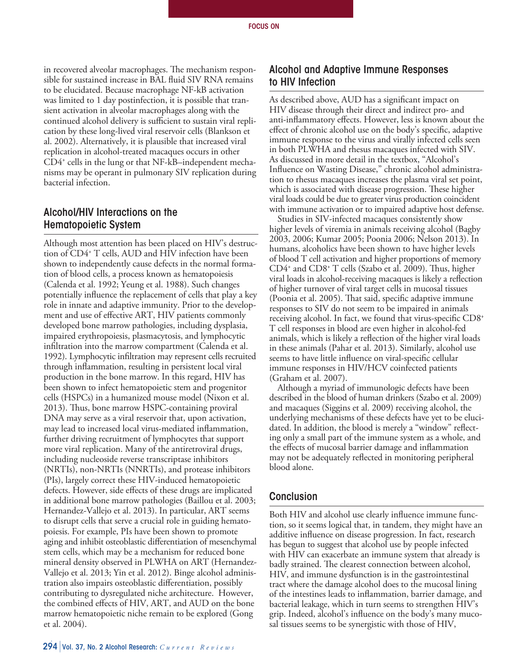in recovered alveolar macrophages. The mechanism responsible for sustained increase in BAL fluid SIV RNA remains to be elucidated. Because macrophage NF-kB activation was limited to 1 day postinfection, it is possible that transient activation in alveolar macrophages along with the continued alcohol delivery is sufficient to sustain viral replication by these long-lived viral reservoir cells (Blankson et al. 2002). Alternatively, it is plausible that increased viral replication in alcohol-treated macaques occurs in other CD4+ cells in the lung or that NF-kB–independent mechanisms may be operant in pulmonary SIV replication during bacterial infection.

## Alcohol/HIV Interactions on the Hematopoietic System

Although most attention has been placed on HIV's destruction of CD4+ T cells, AUD and HIV infection have been shown to independently cause defects in the normal formation of blood cells, a process known as hematopoiesis (Calenda et al. 1992; Yeung et al. 1988). Such changes potentially influence the replacement of cells that play a key role in innate and adaptive immunity. Prior to the development and use of effective ART, HIV patients commonly developed bone marrow pathologies, including dysplasia, impaired erythropoiesis, plasmacytosis, and lymphocytic infiltration into the marrow compartment (Calenda et al. 1992). Lymphocytic infiltration may represent cells recruited through inflammation, resulting in persistent local viral production in the bone marrow. In this regard, HIV has been shown to infect hematopoietic stem and progenitor cells (HSPCs) in a humanized mouse model (Nixon et al. 2013). Thus, bone marrow HSPC-containing proviral DNA may serve as a viral reservoir that, upon activation, may lead to increased local virus-mediated inflammation, further driving recruitment of lymphocytes that support more viral replication. Many of the antiretroviral drugs, including nucleoside reverse transcriptase inhibitors (NRTIs), non-NRTIs (NNRTIs), and protease inhibitors (PIs), largely correct these HIV-induced hematopoietic defects. However, side effects of these drugs are implicated in additional bone marrow pathologies (Baillou et al. 2003; Hernandez-Vallejo et al. 2013). In particular, ART seems to disrupt cells that serve a crucial role in guiding hematopoiesis. For example, PIs have been shown to promote aging and inhibit osteoblastic differentiation of mesenchymal stem cells, which may be a mechanism for reduced bone mineral density observed in PLWHA on ART (Hernandez-Vallejo et al. 2013; Yin et al. 2012). Binge alcohol administration also impairs osteoblastic differentiation, possibly contributing to dysregulated niche architecture. However, the combined effects of HIV, ART, and AUD on the bone marrow hematopoietic niche remain to be explored (Gong et al. 2004).

Conclusion

Both HIV and alcohol use clearly influence immune function, so it seems logical that, in tandem, they might have an additive influence on disease progression. In fact, research has begun to suggest that alcohol use by people infected with HIV can exacerbate an immune system that already is badly strained. The clearest connection between alcohol, HIV, and immune dysfunction is in the gastrointestinal tract where the damage alcohol does to the mucosal lining of the intestines leads to inflammation, barrier damage, and bacterial leakage, which in turn seems to strengthen HIV's grip. Indeed, alcohol's influence on the body's many mucosal tissues seems to be synergistic with those of HIV,

### Alcohol and Adaptive Immune Responses to HIV Infection

As described above, AUD has a significant impact on HIV disease through their direct and indirect pro- and anti-inflammatory effects. However, less is known about the effect of chronic alcohol use on the body's specific, adaptive immune response to the virus and virally infected cells seen in both PLWHA and rhesus macaques infected with SIV. As discussed in more detail in the textbox, "Alcohol's Influence on Wasting Disease," chronic alcohol administration to rhesus macaques increases the plasma viral set point, which is associated with disease progression. These higher viral loads could be due to greater virus production coincident with immune activation or to impaired adaptive host defense.

Studies in SIV-infected macaques consistently show higher levels of viremia in animals receiving alcohol (Bagby 2003, 2006; Kumar 2005; Poonia 2006; Nelson 2013). In humans, alcoholics have been shown to have higher levels of blood T cell activation and higher proportions of memory CD4+ and CD8+ T cells (Szabo et al. 2009). Thus, higher viral loads in alcohol-receiving macaques is likely a reflection of higher turnover of viral target cells in mucosal tissues (Poonia et al. 2005). That said, specific adaptive immune responses to SIV do not seem to be impaired in animals receiving alcohol. In fact, we found that virus-specific CD8+ T cell responses in blood are even higher in alcohol-fed animals, which is likely a reflection of the higher viral loads in these animals (Pahar et al. 2013). Similarly, alcohol use seems to have little influence on viral-specific cellular immune responses in HIV/HCV coinfected patients (Graham et al. 2007).

Although a myriad of immunologic defects have been described in the blood of human drinkers (Szabo et al. 2009) and macaques (Siggins et al. 2009) receiving alcohol, the underlying mechanisms of these defects have yet to be elucidated. In addition, the blood is merely a "window" reflecting only a small part of the immune system as a whole, and the effects of mucosal barrier damage and inflammation may not be adequately reflected in monitoring peripheral blood alone.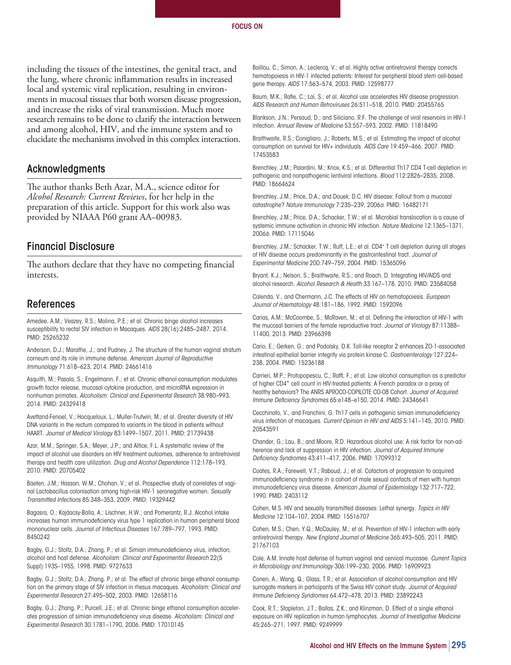including the tissues of the intestines, the genital tract, and the lung, where chronic inflammation results in increased local and systemic viral replication, resulting in environments in mucosal tissues that both worsen disease progression, and increase the risks of viral transmission. Much more research remains to be done to clarify the interaction between and among alcohol, HIV, and the immune system and to elucidate the mechanisms involved in this complex interaction.

#### Acknowledgments

The author thanks Beth Azar, M.A., science editor for *Alcohol Research: Current Reviews*, for her help in the preparation of this article. Support for this work also was provided by NIAAA P60 grant AA–00983.

#### Financial Disclosure

The authors declare that they have no competing financial interests.

#### References

Amedee, A.M.; Veazey, R.S.; Molina, P.E.; et al. Chronic binge alcohol increases susceptibility to rectal SIV infection in Macaques. *AIDS* 28(16):2485–2487, 2014. PMID: 25265232

Anderson, D.J.; Marathe, J.; and Pudney, J. The structure of the human vaginal stratum corneum and its role in immune defense. *American Journal of Reproductive Immunology* 71:618–623, 2014. PMID: 24661416

Asquith, M.; Pasala, S.; Engelmann, F.; et al. Chronic ethanol consumption modulates growth factor release, mucosal cytokine production, and microRNA expression in nonhuman primates. *Alcoholism: Clinical and Experimental Research* 38:980–993, 2014. PMID: 24329418

Avettand-Fenoel, V.; Hocqueloux, L.; Muller-Trutwin, M.; et al. Greater diversity of HIV DNA variants in the rectum compared to variants in the blood in patients without HAART. *Journal of Medical Virology* 83:1499–1507, 2011. PMID: 21739438

Azar, M.M.; Springer, S.A.; Meyer, J.P.; and Altice, F.L. A systematic review of the impact of alcohol use disorders on HIV treatment outcomes, adherence to antiretroviral therapy and health care utilization. *Drug and Alcohol Dependence* 112:178–193, 2010. PMID: 20705402

Baeten, J.M.; Hassan, W.M.; Chohan, V.; et al. Prospective study of correlates of vaginal Lactobacillus colonisation among high-risk HIV-1 seronegative women. *Sexually Transmitted Infections* 85:348–353, 2009. PMID: 19329442

Bagasra, O.; Kajdacsy-Balla, A.; Lischner, H.W.; and Pomerantz, R.J. Alcohol intake increases human immunodeficiency virus type 1 replication in human peripheral blood mononuclear cells. *Journal of Infectious Diseases* 167:789–797, 1993. PMID: 8450242

Bagby, G.J.; Stoltz, D.A.; Zhang, P.; et al. Simian immunodeficiency virus, infection, alcohol and host defense. *Alcoholism: Clinical and Experimental Research* 22(5 Suppl):193S–195S, 1998. PMID: 9727633

Bagby, G.J.; Stoltz, D.A.; Zhang, P.; et al. The effect of chronic binge ethanol consumption on the primary stage of SIV infection in rhesus macaques. *Alcoholism: Clinical and Experimental Research* 27:495–502, 2003. PMID: 12658116

Bagby, G.J.; Zhang, P.; Purcell, J.E.; et al. Chronic binge ethanol consumption accelerates progression of simian immunodeficiency virus disease. *Alcoholism: Clinical and Experimental Research* 30:1781–1790, 2006. PMID: 17010145

Baillou, C.; Simon, A.; Leclercq, V.; et al. Highly active antiretroviral therapy corrects hematopoiesis in HIV-1 infected patients: Interest for peripheral blood stem cell-based gene therapy. *AIDS* 17:563–574, 2003. PMID: 12598777

Baum, M.K.; Rafie, C.; Lai, S.; et al. Alcohol use accelerates HIV disease progression. *AIDS Research and Human Retroviruses* 26:511–518, 2010. PMID: 20455765

Blankson, J.N.; Persaud, D.; and Siliciano, R.F. The challenge of viral reservoirs in HIV-1 infection. *Annual Review of Medicine* 53:557–593, 2002. PMID: 11818490

Braithwaite, R.S.; Conigliaro, J.; Roberts, M.S.; et al. Estimating the impact of alcohol consumption on survival for HIV+ individuals. *AIDS Care* 19:459–466, 2007. PMID: 17453583

Brenchley, J.M.; Paiardini, M.; Knox, K.S.; et al. Differential Th17 CD4 T-cell depletion in pathogenic and nonpathogenic lentiviral infections. *Blood* 112:2826–2835, 2008. PMID: 18664624

Brenchley, J.M.; Price, D.A.; and Douek, D.C. HIV disease: Fallout from a mucosal catastrophe? *Nature Immunology* 7:235–239, 2006*a*. PMID: 16482171

Brenchley, J.M.; Price, D.A.; Schacker, T.W.; et al. Microbial translocation is a cause of systemic immune activation in chronic HIV infection. *Nature Medicine* 12:1365–1371, 2006*b*. PMID: 17115046

Brenchley, J.M.; Schacker, T.W.; Ruff, L.E.; et al. CD4+ T cell depletion during all stages of HIV disease occurs predominantly in the gastrointestinal tract. *Journal of Experimental Medicine* 200:749–759, 2004. PMID: 15365096

Bryant, K.J.; Nelson, S.; Braithwaite, R.S.; and Roach, D. Integrating HIV/AIDS and alcohol research. *Alcohol Research & Health* 33:167–178, 2010. PMID: 23584058

Calenda, V., and Chermann, J.C. The effects of HIV on hematopoiesis. *European Journal of Haematology* 48:181–186, 1992. PMID: 1592096

Carias, A.M.; McCoombe, S.; McRaven, M.; et al. Defining the interaction of HIV-1 with the mucosal barriers of the female reproductive tract. *Journal of Virology* 87:11388– 11400, 2013. PMID: 23966398

Cario, E.; Gerken, G.; and Podolsky, D.K. Toll-like receptor 2 enhances ZO-1-associated intestinal epithelial barrier integrity via protein kinase C. *Gastroenterology* 127:224– 238, 2004. PMID: 15236188

Carrieri, M.P.; Protopopescu, C.; Raffi, F.; et al. Low alcohol consumption as a predictor of higher CD4+ cell count in HIV-treated patients: A French paradox or a proxy of healthy behaviors? The ANRS APROCO-COPILOTE CO-08 Cohort. *Journal of Acquired Immune Deficiency Syndromes* 65:e148–e150, 2014. PMID: 24346641

Cecchinato, V., and Franchini, G. Th17 cells in pathogenic simian immunodeficiency virus infection of macaques. *Current Opinion in HIV and AIDS* 5:141–145, 2010. PMID: 20543591

Chander, G.; Lau, B.; and Moore, R.D. Hazardous alcohol use: A risk factor for non-adherence and lack of suppression in HIV infection. *Journal of Acquired Immune Deficiency Syndromes* 43:411–417, 2006. PMID: 17099312

Coates, R.A.; Farewell, V.T.; Raboud, J.; et al. Cofactors of progression to acquired immunodeficiency syndrome in a cohort of male sexual contacts of men with human immunodeficiency virus disease. *American Journal of Epidemiology* 132:717–722, 1990. PMID: 2403112

Cohen, M.S. HIV and sexually transmitted diseases: Lethal synergy. *Topics in HIV Medicine* 12:104–107, 2004. PMID: 15516707

Cohen, M.S.; Chen, Y.Q.; McCauley, M.; et al. Prevention of HIV-1 infection with early antiretroviral therapy. *New England Journal of Medicine* 365:493–505, 2011. PMID: 21767103

Cole, A.M. Innate host defense of human vaginal and cervical mucosae. *Current Topics in Microbiology and Immunology* 306:199–230, 2006. PMID: 16909923

Conen, A.; Wang, Q.; Glass, T.R.; et al. Association of alcohol consumption and HIV surrogate markers in participants of the Swiss HIV cohort study. *Journal of Acquired Immune Deficiency Syndromes* 64:472–478, 2013. PMID: 23892243

Cook, R.T.; Stapleton, J.T.; Ballas, Z.K.; and Klinzman, D. Effect of a single ethanol exposure on HIV replication in human lymphocytes. *Journal of Investigative Medicine*  45:265–271, 1997. PMID: 9249999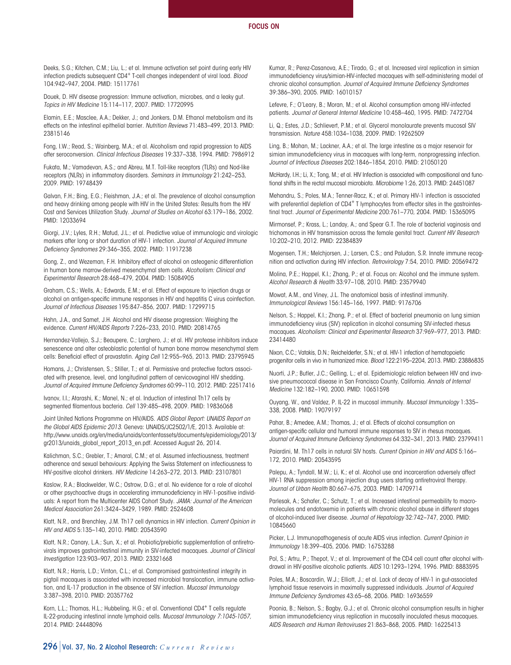Deeks, S.G.; Kitchen, C.M.; Liu, L.; et al. Immune activation set point during early HIV infection predicts subsequent CD4+ T-cell changes independent of viral load. *Blood*  104:942–947, 2004. PMID: 15117761

Douek, D. HIV disease progression: Immune activation, microbes, and a leaky gut. *Topics in HIV Medicine* 15:114–117, 2007. PMID: 17720995

Elamin, E.E.; Masclee, A.A.; Dekker, J.; and Jonkers, D.M. Ethanol metabolism and its effects on the intestinal epithelial barrier. *Nutrition Reviews* 71:483–499, 2013. PMID: 23815146

Fong, I.W.; Read, S.; Wainberg, M.A.; et al. Alcoholism and rapid progression to AIDS after seroconversion. *Clinical Infectious Diseases* 19:337–338, 1994. PMID: 7986912

Fukata, M.; Vamadevan, A.S.; and Abreu, M.T. Toll-like receptors (TLRs) and Nod-like receptors (NLRs) in inflammatory disorders. *Seminars in Immunology* 21:242–253, 2009. PMID: 19748439

Galvan, F.H.; Bing, E.G.; Fleishman, J.A.; et al. The prevalence of alcohol consumption and heavy drinking among people with HIV in the United States: Results from the HIV Cost and Services Utilization Study. *Journal of Studies on Alcohol* 63:179–186, 2002. PMID: 12033694

Giorgi, J.V.; Lyles, R.H.; Matud, J.L.; et al. Predictive value of immunologic and virologic markers after long or short duration of HIV-1 infection. *Journal of Acquired Immune Deficiency Syndromes* 29:346–355, 2002. PMID: 11917238

Gong, Z., and Wezeman, F.H. Inhibitory effect of alcohol on osteogenic differentiation in human bone marrow-derived mesenchymal stem cells. *Alcoholism: Clinical and Experimental Research* 28:468–479, 2004. PMID: 15084905

Graham, C.S.; Wells, A.; Edwards, E.M.; et al. Effect of exposure to injection drugs or alcohol on antigen-specific immune responses in HIV and hepatitis C virus coinfection. *Journal of Infectious Diseases* 195:847–856, 2007. PMID: 17299715

Hahn, J.A., and Samet, J.H. Alcohol and HIV disease progression: Weighing the evidence. *Current HIV/AIDS Reports* 7:226–233, 2010. PMID: 20814765

Hernandez-Vallejo, S.J.; Beaupere, C.; Larghero, J.; et al. HIV protease inhibitors induce senescence and alter osteoblastic potential of human bone marrow mesenchymal stem cells: Beneficial effect of pravastatin. *Aging Cell* 12:955–965, 2013. PMID: 23795945

Homans, J.; Christensen, S.; Stiller, T.; et al. Permissive and protective factors associated with presence, level, and longitudinal pattern of cervicovaginal HIV shedding. *Journal of Acquired Immune Deficiency Syndromes* 60:99–110, 2012. PMID: 22517416

Ivanov, I.I.; Atarashi, K.; Manel, N.; et al. Induction of intestinal Th17 cells by segmented filamentous bacteria. *Cell* 139:485–498, 2009. PMID: 19836068

Joint United Nations Programme on HIV/AIDS. *AIDS Global Report: UNAIDS Report on the Global AIDS Epidemic 2013*. Geneva: UNAIDS/JC2502/1/E, 2013. Available at: http://www.unaids.org/en/media/unaids/contentassets/documents/epidemiology/2013/ gr2013/unaids\_global\_report\_2013\_en.pdf. Accessed August 26, 2014.

Kalichman, S.C.; Grebler, T.; Amaral, C.M.; et al. Assumed infectiousness, treatment adherence and sexual behaviours: Applying the Swiss Statement on infectiousness to HIV-positive alcohol drinkers. *HIV Medicine* 14:263–272, 2013. PMID: 23107801

Kaslow, R.A.; Blackwelder, W.C.; Ostrow, D.G.; et al. No evidence for a role of alcohol or other psychoactive drugs in accelerating immunodeficiency in HIV-1-positive individuals: A report from the Multicenter AIDS Cohort Study. *JAMA: Journal of the American Medical Association* 261:3424–3429, 1989. PMID: 2524608

Klatt, N.R., and Brenchley, J.M. Th17 cell dynamics in HIV infection. *Current Opinion in HIV and AIDS* 5:135–140, 2010. PMID: 20543590

Klatt, N.R.; Canary, L.A.; Sun, X.; et al. Probiotic/prebiotic supplementation of antiretrovirals improves gastrointestinal immunity in SIV-infected macaques. *Journal of Clinical Investigation* 123:903–907, 2013. PMID: 23321668

Klatt, N.R.; Harris, L.D.; Vinton, C.L.; et al. Compromised gastrointestinal integrity in pigtail macaques is associated with increased microbial translocation, immune activation, and IL-17 production in the absence of SIV infection. *Mucosal Immunology*  3:387–398, 2010. PMID: 20357762

Korn, L.L.; Thomas, H.L.; Hubbeling, H.G.; et al. Conventional CD4<sup>+</sup> T cells regulate IL-22-producing intestinal innate lymphoid cells. *Mucosal Immunology 7:1045-1057,*  2014. PMID: 24448096

Kumar, R.; Perez-Casanova, A.E.; Tirado, G.; et al. Increased viral replication in simian immunodeficiency virus/simian-HIV-infected macaques with self-administering model of chronic alcohol consumption. *Journal of Acquired Immune Deficiency Syndromes*  39:386–390, 2005. PMID: 16010157

Lefevre, F.; O'Leary, B.; Moran, M.; et al. Alcohol consumption among HIV-infected patients. *Journal of General Internal Medicine* 10:458–460, 1995. PMID: 7472704

Li, Q.; Estes, J.D.; Schlievert, P.M.; et al. Glycerol monolaurate prevents mucosal SIV transmission. *Nature* 458:1034–1038, 2009. PMID: 19262509

Ling, B.; Mohan, M.; Lackner, A.A.; et al. The large intestine as a major reservoir for simian immunodeficiency virus in macaques with long-term, nonprogressing infection. *Journal of Infectious Diseases* 202:1846–1854, 2010. PMID: 21050120

McHardy, I.H.; Li, X.; Tong, M.; et al. HIV Infection is associated with compositional and functional shifts in the rectal mucosal microbiota. *Microbiome* 1:26, 2013. PMID: 24451087

Mehandru, S.; Poles, M.A.; Tenner-Racz, K.; et al. Primary HIV-1 infection is associated with preferential depletion of CD4<sup>+</sup> T lymphocytes from effector sites in the gastrointestinal tract. *Journal of Experimental Medicine* 200:761–770, 2004. PMID: 15365095

Mirmonsef, P.; Krass, L.; Landay, A.; and Spear G.T. The role of bacterial vaginosis and trichomonas in HIV transmission across the female genital tract. *Current HIV Research*  10:202–210, 2012. PMID: 22384839

Mogensen, T.H.; Melchjorsen, J.; Larsen, C.S.; and Paludan, S.R. Innate immune recognition and activation during HIV infection. *Retrovirology* 7:54, 2010. PMID: 20569472

Molina, P.E.; Happel, K.I.; Zhang, P.; et al. Focus on: Alcohol and the immune system. *Alcohol Research & Health* 33:97–108, 2010. PMID: 23579940

Mowat, A.M., and Viney, J.L. The anatomical basis of intestinal immunity. *Immunological Reviews* 156:145–166, 1997. PMID: 9176706

Nelson, S.; Happel, K.I.; Zhang, P.; et al. Effect of bacterial pneumonia on lung simian immunodeficiency virus (SIV) replication in alcohol consuming SIV-infected rhesus macaques. *Alcoholism: Clinical and Experimental Research* 37:969–977, 2013. PMID: 23414480

Nixon, C.C.; Vatakis, D.N.; Reichelderfer, S.N.; et al. HIV-1 infection of hematopoietic progenitor cells in vivo in humanized mice. *Blood* 122:2195–2204, 2013. PMID: 23886835

Nuorti, J.P.; Butler, J.C.; Gelling, L.; et al. Epidemiologic relation between HIV and invasive pneumococcal disease in San Francisco County, California. *Annals of Internal Medicine* 132:182–190, 2000. PMID: 10651598

Ouyang, W., and Valdez, P. IL-22 in mucosal immunity. *Mucosal Immunology* 1:335– 338, 2008. PMID: 19079197

Pahar, B.; Amedee, A.M.; Thomas, J.; et al. Effects of alcohol consumption on antigen-specific cellular and humoral immune responses to SIV in rhesus macaques. *Journal of Acquired Immune Deficiency Syndromes* 64:332–341, 2013. PMID: 23799411

Paiardini, M. Th17 cells in natural SIV hosts. *Current Opinion in HIV and AIDS* 5:166– 172, 2010. PMID: 20543595

Palepu, A.; Tyndall, M.W.; Li, K.; et al. Alcohol use and incarceration adversely affect HIV-1 RNA suppression among injection drug users starting antiretroviral therapy. *Journal of Urban Health* 80:667–675, 2003. PMID: 14709714

Parlesak, A.; Schafer, C.; Schutz, T.; et al. Increased intestinal permeability to macromolecules and endotoxemia in patients with chronic alcohol abuse in different stages of alcohol-induced liver disease. *Journal of Hepatology* 32:742–747, 2000. PMID: 10845660

Picker, L.J. Immunopathogenesis of acute AIDS virus infection. *Current Opinion in Immunology* 18:399–405, 2006. PMID: 16753288

Pol, S.; Artru, P.; Thepot, V.; et al. Improvement of the CD4 cell count after alcohol withdrawal in HIV-positive alcoholic patients. *AIDS* 10:1293–1294, 1996. PMID: 8883595

Poles, M.A.; Boscardin, W.J.; Elliott, J.; et al. Lack of decay of HIV-1 in gut-associated lymphoid tissue reservoirs in maximally suppressed individuals. *Journal of Acquired Immune Deficiency Syndromes* 43:65–68, 2006. PMID: 16936559

Poonia, B.; Nelson, S.; Bagby, G.J.; et al. Chronic alcohol consumption results in higher simian immunodeficiency virus replication in mucosally inoculated rhesus macaques. *AIDS Research and Human Retroviruses* 21:863–868, 2005. PMID: 16225413